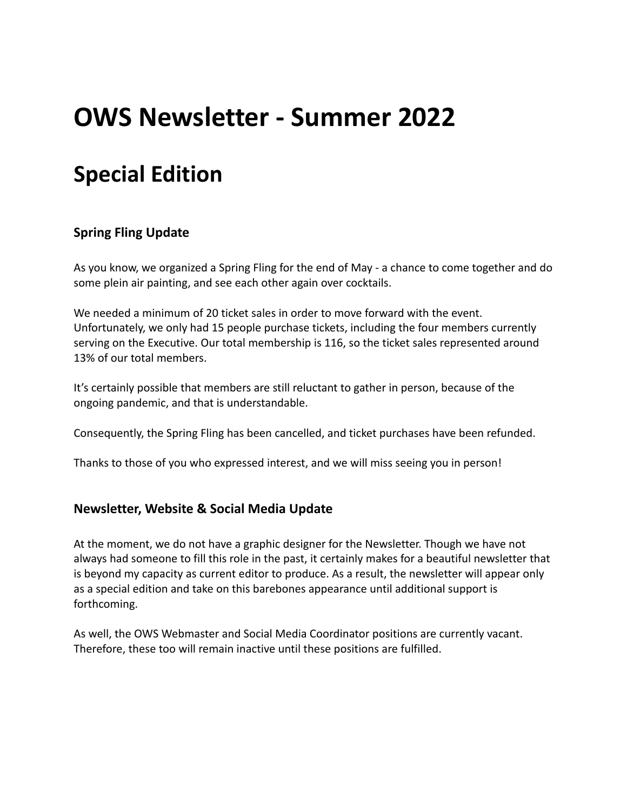# **OWS Newsletter - Summer 2022**

## **Special Edition**

### **Spring Fling Update**

As you know, we organized a Spring Fling for the end of May - a chance to come together and do some plein air painting, and see each other again over cocktails.

We needed a minimum of 20 ticket sales in order to move forward with the event. Unfortunately, we only had 15 people purchase tickets, including the four members currently serving on the Executive. Our total membership is 116, so the ticket sales represented around 13% of our total members.

It's certainly possible that members are still reluctant to gather in person, because of the ongoing pandemic, and that is understandable.

Consequently, the Spring Fling has been cancelled, and ticket purchases have been refunded.

Thanks to those of you who expressed interest, and we will miss seeing you in person!

#### **Newsletter, Website & Social Media Update**

At the moment, we do not have a graphic designer for the Newsletter. Though we have not always had someone to fill this role in the past, it certainly makes for a beautiful newsletter that is beyond my capacity as current editor to produce. As a result, the newsletter will appear only as a special edition and take on this barebones appearance until additional support is forthcoming.

As well, the OWS Webmaster and Social Media Coordinator positions are currently vacant. Therefore, these too will remain inactive until these positions are fulfilled.